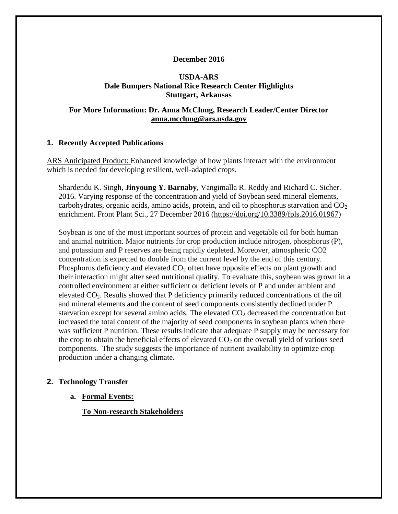## **December 2016**

## **USDA-ARS Dale Bumpers National Rice Research Center Highlights Stuttgart, Arkansas**

## **For More Information: Dr. Anna McClung, Research Leader/Center Director [anna.mcclung@ars.usda.gov](mailto:anna.mcclung@ars.usda.gov)**

### **1. Recently Accepted Publications**

ARS Anticipated Product: Enhanced knowledge of how plants interact with the environment which is needed for developing resilient, well-adapted crops.

[Shardendu K. Singh,](http://frontiersin.org/people/u/347336) **[Jinyoung Y. Barnaby](http://frontiersin.org/people/u/209435)**, [Vangimalla R. Reddy](http://frontiersin.org/people/u/400588) and [Richard C. Sicher.](http://frontiersin.org/people/u/265306) 2016. Varying response of the concentration and yield of Soybean seed mineral elements, carbohydrates, organic acids, amino acids, protein, and oil to phosphorus starvation and  $CO<sub>2</sub>$ enrichment. Front Plant Sci., 27 December 2016 [\(https://doi.org/10.3389/fpls.2016.01967\)](https://doi.org/10.3389/fpls.2016.01967)

Soybean is one of the most important sources of protein and vegetable oil for both human and animal nutrition. Major nutrients for crop production include nitrogen, phosphorus (P), and potassium and P reserves are being rapidly depleted. Moreover, atmospheric CO2 concentration is expected to double from the current level by the end of this century. Phosphorus deficiency and elevated  $CO<sub>2</sub>$  often have opposite effects on plant growth and their interaction might alter seed nutritional quality. To evaluate this, soybean was grown in a controlled environment at either sufficient or deficient levels of P and under ambient and elevated CO2. Results showed that P deficiency primarily reduced concentrations of the oil and mineral elements and the content of seed components consistently declined under P starvation except for several amino acids. The elevated  $CO<sub>2</sub>$  decreased the concentration but increased the total content of the majority of seed components in soybean plants when there was sufficient P nutrition. These results indicate that adequate P supply may be necessary for the crop to obtain the beneficial effects of elevated  $CO<sub>2</sub>$  on the overall yield of various seed components. The study suggests the importance of nutrient availability to optimize crop production under a changing climate.

### **2. Technology Transfer**

### **a. Formal Events:**

**To Non-research Stakeholders**